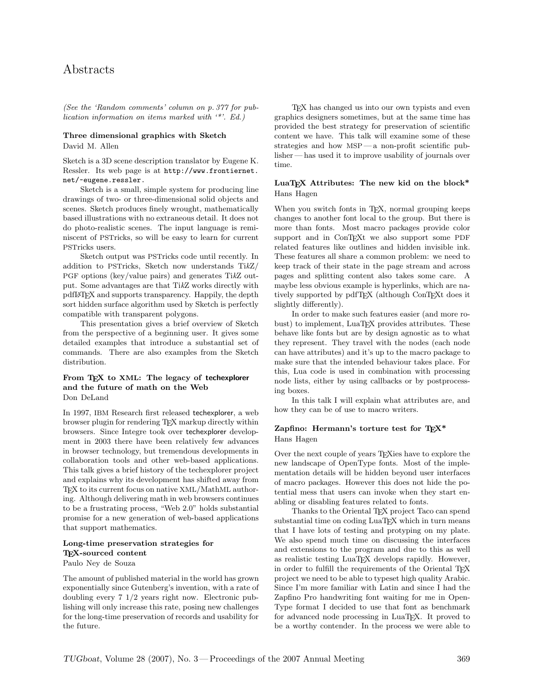# Abstracts

(See the 'Random comments' column on p. 377 for publication information on items marked with '\*'. Ed.)

#### Three dimensional graphics with Sketch David M. Allen

Sketch is a 3D scene description translator by Eugene K. Ressler. Its web page is at http://www.frontiernet. net/~eugene.ressler.

Sketch is a small, simple system for producing line drawings of two- or three-dimensional solid objects and scenes. Sketch produces finely wrought, mathematically based illustrations with no extraneous detail. It does not do photo-realistic scenes. The input language is reminiscent of PSTricks, so will be easy to learn for current PSTricks users.

Sketch output was PSTricks code until recently. In addition to PSTricks, Sketch now understands TikZ/ PGF options (key/value pairs) and generates TikZ output. Some advantages are that TikZ works directly with pdfLATEX and supports transparency. Happily, the depth sort hidden surface algorithm used by Sketch is perfectly compatible with transparent polygons.

This presentation gives a brief overview of Sketch from the perspective of a beginning user. It gives some detailed examples that introduce a substantial set of commands. There are also examples from the Sketch distribution.

#### From T<sub>E</sub>X to XML: The legacy of techexplorer and the future of math on the Web Don DeLand

In 1997, IBM Research first released techexplorer, a web browser plugin for rendering TEX markup directly within browsers. Since Integre took over techexplorer development in 2003 there have been relatively few advances in browser technology, but tremendous developments in collaboration tools and other web-based applications. This talk gives a brief history of the techexplorer project and explains why its development has shifted away from TEX to its current focus on native XML/MathML authoring. Although delivering math in web browsers continues to be a frustrating process, "Web 2.0" holds substantial promise for a new generation of web-based applications that support mathematics.

# Long-time preservation strategies for TEX-sourced content

Paulo Ney de Souza

The amount of published material in the world has grown exponentially since Gutenberg's invention, with a rate of doubling every 7 1/2 years right now. Electronic publishing will only increase this rate, posing new challenges for the long-time preservation of records and usability for the future.

TEX has changed us into our own typists and even graphics designers sometimes, but at the same time has provided the best strategy for preservation of scientific content we have. This talk will examine some of these strategies and how MSP — a non-profit scientific publisher— has used it to improve usability of journals over time.

#### LuaTEX Attributes: The new kid on the block\* Hans Hagen

When you switch fonts in T<sub>E</sub>X, normal grouping keeps changes to another font local to the group. But there is more than fonts. Most macro packages provide color support and in ConT<sub>EX</sub>t we also support some PDF related features like outlines and hidden invisible ink. These features all share a common problem: we need to keep track of their state in the page stream and across pages and splitting content also takes some care. A maybe less obvious example is hyperlinks, which are natively supported by pdfTEX (although ConTEXt does it slightly differently).

In order to make such features easier (and more robust) to implement, LuaT<sub>EX</sub> provides attributes. These behave like fonts but are by design agnostic as to what they represent. They travel with the nodes (each node can have attributes) and it's up to the macro package to make sure that the intended behaviour takes place. For this, Lua code is used in combination with processing node lists, either by using callbacks or by postprocessing boxes.

In this talk I will explain what attributes are, and how they can be of use to macro writers.

## Zapfino: Hermann's torture test for TEX\* Hans Hagen

Over the next couple of years TEXies have to explore the new landscape of OpenType fonts. Most of the implementation details will be hidden beyond user interfaces of macro packages. However this does not hide the potential mess that users can invoke when they start enabling or disabling features related to fonts.

Thanks to the Oriental TEX project Taco can spend substantial time on coding LuaT<sub>EX</sub> which in turn means that I have lots of testing and protyping on my plate. We also spend much time on discussing the interfaces and extensions to the program and due to this as well as realistic testing LuaT<sub>EX</sub> develops rapidly. However, in order to fulfill the requirements of the Oriental TFX project we need to be able to typeset high quality Arabic. Since I'm more familiar with Latin and since I had the Zapfino Pro handwriting font waiting for me in Open-Type format I decided to use that font as benchmark for advanced node processing in LuaTEX. It proved to be a worthy contender. In the process we were able to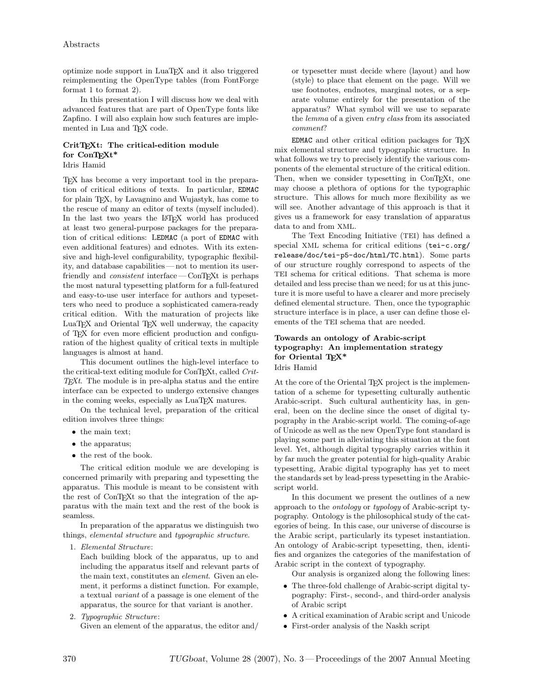optimize node support in LuaTEX and it also triggered reimplementing the OpenType tables (from FontForge format 1 to format 2).

In this presentation I will discuss how we deal with advanced features that are part of OpenType fonts like Zapfino. I will also explain how such features are implemented in Lua and T<sub>E</sub>X code.

#### CritT<sub>E</sub>Xt: The critical-edition module for ConT<sub>EXt</sub>\*

Idris Hamid

TEX has become a very important tool in the preparation of critical editions of texts. In particular, EDMAC for plain TEX, by Lavagnino and Wujastyk, has come to the rescue of many an editor of texts (myself included). In the last two years the LAT<sub>EX</sub> world has produced at least two general-purpose packages for the preparation of critical editions: LEDMAC (a port of EDMAC with even additional features) and ednotes. With its extensive and high-level configurability, typographic flexibility, and database capabilities— not to mention its userfriendly and *consistent* interface — ConTEXt is perhaps the most natural typesetting platform for a full-featured and easy-to-use user interface for authors and typesetters who need to produce a sophisticated camera-ready critical edition. With the maturation of projects like LuaTEX and Oriental TEX well underway, the capacity of TEX for even more efficient production and configuration of the highest quality of critical texts in multiple languages is almost at hand.

This document outlines the high-level interface to the critical-text editing module for ConTEXt, called Crit- $T<sub>E</sub>xt$ . The module is in pre-alpha status and the entire interface can be expected to undergo extensive changes in the coming weeks, especially as LuaTEX matures.

On the technical level, preparation of the critical edition involves three things:

- the main text;
- the apparatus;
- the rest of the book.

The critical edition module we are developing is concerned primarily with preparing and typesetting the apparatus. This module is meant to be consistent with the rest of ConTEXt so that the integration of the apparatus with the main text and the rest of the book is seamless.

In preparation of the apparatus we distinguish two things, elemental structure and typographic structure.

1. Elemental Structure:

Each building block of the apparatus, up to and including the apparatus itself and relevant parts of the main text, constitutes an element. Given an element, it performs a distinct function. For example, a textual variant of a passage is one element of the apparatus, the source for that variant is another.

2. Typographic Structure:

Given an element of the apparatus, the editor and/

or typesetter must decide where (layout) and how (style) to place that element on the page. Will we use footnotes, endnotes, marginal notes, or a separate volume entirely for the presentation of the apparatus? What symbol will we use to separate the lemma of a given entry class from its associated comment?

EDMAC and other critical edition packages for TEX mix elemental structure and typographic structure. In what follows we try to precisely identify the various components of the elemental structure of the critical edition. Then, when we consider typesetting in ConTEXt, one may choose a plethora of options for the typographic structure. This allows for much more flexibility as we will see. Another advantage of this approach is that it gives us a framework for easy translation of apparatus data to and from XML.

The Text Encoding Initiative (TEI) has defined a special XML schema for critical editions (tei-c.org/ release/doc/tei-p5-doc/html/TC.html). Some parts of our structure roughly correspond to aspects of the TEI schema for critical editions. That schema is more detailed and less precise than we need; for us at this juncture it is more useful to have a clearer and more precisely defined elemental structure. Then, once the typographic structure interface is in place, a user can define those elements of the TEI schema that are needed.

#### Towards an ontology of Arabic-script typography: An implementation strategy for Oriental  $T_F X^*$ Idris Hamid

At the core of the Oriental T<sub>EX</sub> project is the implementation of a scheme for typesetting culturally authentic Arabic-script. Such cultural authenticity has, in general, been on the decline since the onset of digital typography in the Arabic-script world. The coming-of-age of Unicode as well as the new OpenType font standard is playing some part in alleviating this situation at the font level. Yet, although digital typography carries within it by far much the greater potential for high-quality Arabic typesetting, Arabic digital typography has yet to meet the standards set by lead-press typesetting in the Arabicscript world.

In this document we present the outlines of a new approach to the ontology or typology of Arabic-script typography. Ontology is the philosophical study of the categories of being. In this case, our universe of discourse is the Arabic script, particularly its typeset instantiation. An ontology of Arabic-script typesetting, then, identifies and organizes the categories of the manifestation of Arabic script in the context of typography.

Our analysis is organized along the following lines:

- The three-fold challenge of Arabic-script digital typography: First-, second-, and third-order analysis of Arabic script
- A critical examination of Arabic script and Unicode
- First-order analysis of the Naskh script